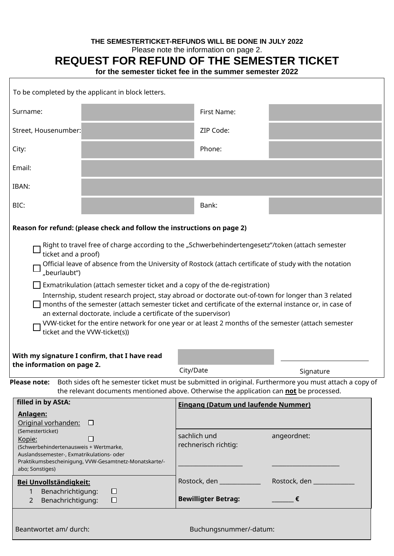### **THE SEMESTERTICKET-REFUNDS WILL BE DONE IN JULY 2022**

Please note the information on page 2.

## **REQUEST FOR REFUND OF THE SEMESTER TICKET**

**for the semester ticket fee in the summer semester 2022**

| To be completed by the applicant in block letters.                                                                                                                                                                                                                                                                                                                                                                                                                                                                                                                                                                                                                                                                 |             |                                            |                                      |                           |
|--------------------------------------------------------------------------------------------------------------------------------------------------------------------------------------------------------------------------------------------------------------------------------------------------------------------------------------------------------------------------------------------------------------------------------------------------------------------------------------------------------------------------------------------------------------------------------------------------------------------------------------------------------------------------------------------------------------------|-------------|--------------------------------------------|--------------------------------------|---------------------------|
| Surname:                                                                                                                                                                                                                                                                                                                                                                                                                                                                                                                                                                                                                                                                                                           |             |                                            | First Name:                          |                           |
| Street, Housenumber:                                                                                                                                                                                                                                                                                                                                                                                                                                                                                                                                                                                                                                                                                               |             |                                            | ZIP Code:                            |                           |
| City:                                                                                                                                                                                                                                                                                                                                                                                                                                                                                                                                                                                                                                                                                                              |             |                                            | Phone:                               |                           |
| Email:                                                                                                                                                                                                                                                                                                                                                                                                                                                                                                                                                                                                                                                                                                             |             |                                            |                                      |                           |
| IBAN:                                                                                                                                                                                                                                                                                                                                                                                                                                                                                                                                                                                                                                                                                                              |             |                                            |                                      |                           |
| BIC:                                                                                                                                                                                                                                                                                                                                                                                                                                                                                                                                                                                                                                                                                                               |             |                                            | Bank:                                |                           |
| Reason for refund: (please check and follow the instructions on page 2)                                                                                                                                                                                                                                                                                                                                                                                                                                                                                                                                                                                                                                            |             |                                            |                                      |                           |
| ticket and a proof)<br>Official leave of absence from the University of Rostock (attach certificate of study with the notation<br>"beurlaubt")<br>$\Box$ Exmatrikulation (attach semester ticket and a copy of the de-registration)<br>Internship, student research project, stay abroad or doctorate out-of-town for longer than 3 related<br>months of the semester (attach semester ticket and certificate of the external instance or, in case of<br>an external doctorate, include a certificate of the supervisor)<br>VVW-ticket for the entire network for one year or at least 2 months of the semester (attach semester<br>ticket and the VVW-ticket(s))<br>With my signature I confirm, that I have read |             |                                            |                                      |                           |
| the information on page 2.                                                                                                                                                                                                                                                                                                                                                                                                                                                                                                                                                                                                                                                                                         |             | City/Date                                  |                                      | Signature                 |
| Please note:<br>Both sides oft he semester ticket must be submitted in original. Furthermore you must attach a copy of<br>the relevant documents mentioned above. Otherwise the application can not be processed.                                                                                                                                                                                                                                                                                                                                                                                                                                                                                                  |             |                                            |                                      |                           |
| filled in by AStA:<br>Anlagen:<br>Original vorhanden: □                                                                                                                                                                                                                                                                                                                                                                                                                                                                                                                                                                                                                                                            |             | <b>Eingang (Datum und laufende Nummer)</b> |                                      |                           |
| (Semesterticket)<br>□<br>Kopie:<br>(Schwerbehindertenausweis + Wertmarke,<br>Auslandssemester-, Exmatrikulations- oder<br>Praktikumsbescheinigung, VVW-Gesamtnetz-Monatskarte/-<br>abo; Sonstiges)                                                                                                                                                                                                                                                                                                                                                                                                                                                                                                                 |             |                                            | sachlich und<br>rechnerisch richtig: | angeordnet:               |
| Bei Unvollständigkeit:                                                                                                                                                                                                                                                                                                                                                                                                                                                                                                                                                                                                                                                                                             |             |                                            | Rostock, den ___________             | Rostock, den ____________ |
| Benachrichtigung:<br>1<br>Benachrichtigung:<br>$\overline{2}$                                                                                                                                                                                                                                                                                                                                                                                                                                                                                                                                                                                                                                                      | ⊔<br>$\Box$ |                                            | <b>Bewilligter Betrag:</b>           | €                         |
| Beantwortet am/ durch:<br>Buchungsnummer/-datum:                                                                                                                                                                                                                                                                                                                                                                                                                                                                                                                                                                                                                                                                   |             |                                            |                                      |                           |